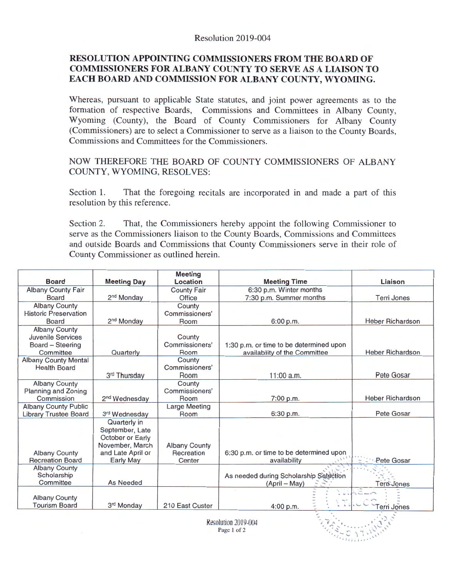## **RESOLUTION APPOINTING COMMISSIONERS FROM THE BOARD OF COMMISSIONERS FOR ALBANY COUNTY TO SERVE** AS A **LIAISON TO EACH BOARD AND COMMISSION FOR ALBANY COUNTY, WYOMING.**

Whereas, pursuant to applicable State statutes, and joint power agreements as to the formation of respective Boards, Commissions and Committees in Albany County, Wyoming (County), the Board of County Commissioners for Albany County (Commissioners) are to select a Commissioner to serve as a liaison to the County Boards, Commissions and Committees for the Commissioners.

NOW THEREFORE THE BOARD OF COUNTY COMMISSIONERS OF ALBANY COUNTY, WYOMING, RESOLVES:

Section 1. That the foregoing recitals are incorporated in and made a part of this resolution by this reference.

Section 2. That, the Commissioners hereby appoint the following Commissioner to serve as the Commissioners liaison to the County Boards, Commissions and Committees and outside Boards and Commissions that County Commissioners serve in their role of County Commissioner as outlined herein.

|                              |                                                                        | <b>Meeting</b>       |                                         |                         |  |
|------------------------------|------------------------------------------------------------------------|----------------------|-----------------------------------------|-------------------------|--|
| <b>Board</b>                 | <b>Meeting Day</b>                                                     | Location             | <b>Meeting Time</b>                     | Liaison                 |  |
| Albany County Fair           |                                                                        | <b>County Fair</b>   | 6:30 p.m. Winter months                 |                         |  |
| Board                        | 2 <sup>nd</sup> Monday                                                 | Office               | 7:30 p.m. Summer months                 | <b>Terri Jones</b>      |  |
| <b>Albany County</b>         |                                                                        | County               |                                         |                         |  |
| <b>Historic Preservation</b> |                                                                        | Commissioners'       |                                         |                         |  |
| Board                        | 2 <sup>nd</sup> Monday                                                 | Room                 | 6:00 p.m.                               | <b>Heber Richardson</b> |  |
| <b>Albany County</b>         |                                                                        |                      |                                         |                         |  |
| <b>Juvenile Services</b>     |                                                                        | County               |                                         |                         |  |
| Board - Steering             |                                                                        | Commissioners'       | 1:30 p.m. or time to be determined upon |                         |  |
| Committee                    | Quarterly                                                              | Room                 | availability of the Committee           | <b>Heber Richardson</b> |  |
| <b>Albany County Mental</b>  |                                                                        | County               |                                         |                         |  |
| <b>Health Board</b>          |                                                                        | Commissioners'       |                                         |                         |  |
|                              | 3rd Thursday                                                           | Room                 | $11:00$ a.m.                            | Pete Gosar              |  |
| <b>Albany County</b>         |                                                                        | County               |                                         |                         |  |
| Planning and Zoning          |                                                                        | Commissioners'       |                                         |                         |  |
| Commission                   | 2 <sup>nd</sup> Wednesday                                              | Room                 | 7:00 p.m.                               | <b>Heber Richardson</b> |  |
| <b>Albany County Public</b>  |                                                                        | <b>Large Meeting</b> |                                         |                         |  |
| <b>Library Trustee Board</b> | 3rd Wednesday                                                          | Room                 | 6:30 p.m.                               | Pete Gosar              |  |
|                              | Quarterly in<br>September, Late<br>October or Early<br>November, March | <b>Albany County</b> |                                         |                         |  |
| <b>Albany County</b>         | and Late April or                                                      | Recreation           | 6:30 p.m. or time to be determined upon |                         |  |
| <b>Recreation Board</b>      | <b>Early May</b>                                                       | Center               | availability                            | Pete Gosar              |  |
| <b>Albany County</b>         |                                                                        |                      |                                         |                         |  |
| Scholarship                  |                                                                        |                      | As needed during Scholarship Selection  |                         |  |
| Committee                    | As Needed                                                              |                      | (April – May)                           | Tern Jones              |  |
| <b>Albany County</b>         |                                                                        |                      |                                         |                         |  |
| <b>Tourism Board</b>         | 3rd Monday                                                             | 210 East Custer      | 4:00 p.m.                               | Terri Jones             |  |
|                              |                                                                        |                      |                                         |                         |  |

Resolution 2019-004 Page 1 of 2